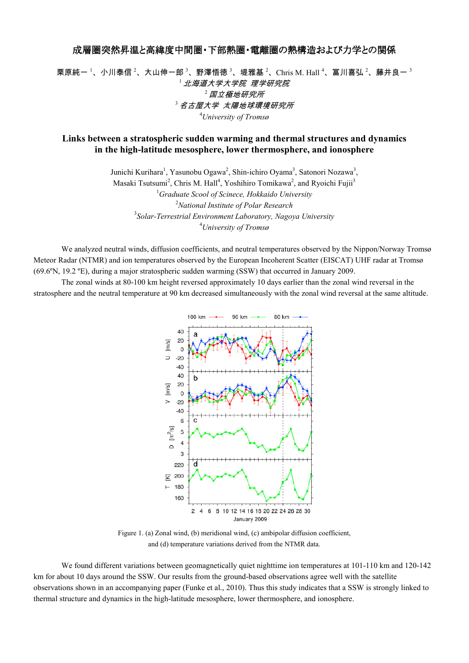## 成層圏突然昇温と高緯度中間圏・下部熱圏・電離圏の熱構造および力学との関係

栗原純一<sup>1</sup>、小川泰信 <sup>2</sup>、大山伸一郎 <sup>3</sup>、野澤悟徳 <sup>3</sup>、堤雅基 <sup>2</sup>、Chris M. Hall <sup>4</sup>、冨川喜弘 <sup>2</sup>、藤井良一 <sup>3</sup> <sup>1</sup>北海道大学大学院 理学研究院  $2$  国立極地研究所 <sup>3</sup>名古屋大学 太陽地球環境研究所 <sup>4</sup>*University of Tromsø*

## **Links between a stratospheric sudden warming and thermal structures and dynamics in the high-latitude mesosphere, lower thermosphere, and ionosphere**

Junichi Kurihara<sup>1</sup>, Yasunobu Ogawa<sup>2</sup>, Shin-ichiro Oyama<sup>3</sup>, Satonori Nozawa<sup>3</sup>, Masaki Tsutsumi<sup>2</sup>, Chris M. Hall<sup>4</sup>, Yoshihiro Tomikawa<sup>2</sup>, and Ryoichi Fujii<sup>3</sup> *Graduate Scool of Scinece, Hokkaido University National Institute of Polar Research Solar-Terrestrial Environment Laboratory, Nagoya University University of Tromsø*

 We analyzed neutral winds, diffusion coefficients, and neutral temperatures observed by the Nippon/Norway Tromsø Meteor Radar (NTMR) and ion temperatures observed by the European Incoherent Scatter (EISCAT) UHF radar at Tromsø (69.6ºN, 19.2 ºE), during a major stratospheric sudden warming (SSW) that occurred in January 2009.

 The zonal winds at 80-100 km height reversed approximately 10 days earlier than the zonal wind reversal in the stratosphere and the neutral temperature at 90 km decreased simultaneously with the zonal wind reversal at the same altitude.



Figure 1. (a) Zonal wind, (b) meridional wind, (c) ambipolar diffusion coefficient, and (d) temperature variations derived from the NTMR data.

We found different variations between geomagnetically quiet nighttime ion temperatures at 101-110 km and 120-142 km for about 10 days around the SSW. Our results from the ground-based observations agree well with the satellite observations shown in an accompanying paper (Funke et al., 2010). Thus this study indicates that a SSW is strongly linked to thermal structure and dynamics in the high-latitude mesosphere, lower thermosphere, and ionosphere.